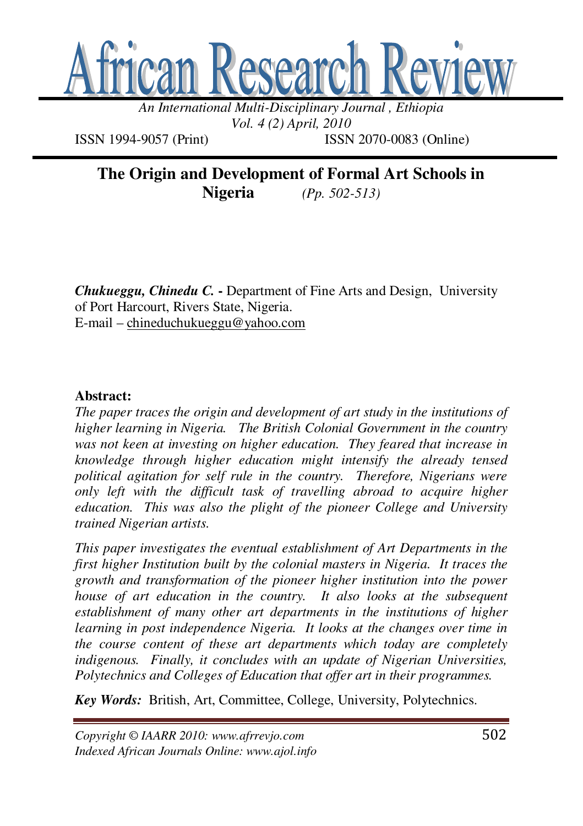

*An International Multi-Disciplinary Journal , Ethiopia Vol. 4 (2) April, 2010* 

ISSN 1994-9057 (Print) ISSN 2070-0083 (Online)

**The Origin and Development of Formal Art Schools in Nigeria** *(Pp. 502-513)*

*Chukueggu, Chinedu C.* **-** Department of Fine Arts and Design, University of Port Harcourt, Rivers State, Nigeria. E-mail – chineduchukueggu@yahoo.com

# **Abstract:**

*The paper traces the origin and development of art study in the institutions of higher learning in Nigeria. The British Colonial Government in the country was not keen at investing on higher education. They feared that increase in knowledge through higher education might intensify the already tensed political agitation for self rule in the country. Therefore, Nigerians were only left with the difficult task of travelling abroad to acquire higher education. This was also the plight of the pioneer College and University trained Nigerian artists.* 

*This paper investigates the eventual establishment of Art Departments in the first higher Institution built by the colonial masters in Nigeria. It traces the growth and transformation of the pioneer higher institution into the power house of art education in the country. It also looks at the subsequent establishment of many other art departments in the institutions of higher learning in post independence Nigeria. It looks at the changes over time in the course content of these art departments which today are completely indigenous. Finally, it concludes with an update of Nigerian Universities, Polytechnics and Colleges of Education that offer art in their programmes.* 

*Key Words:*British, Art, Committee, College, University, Polytechnics.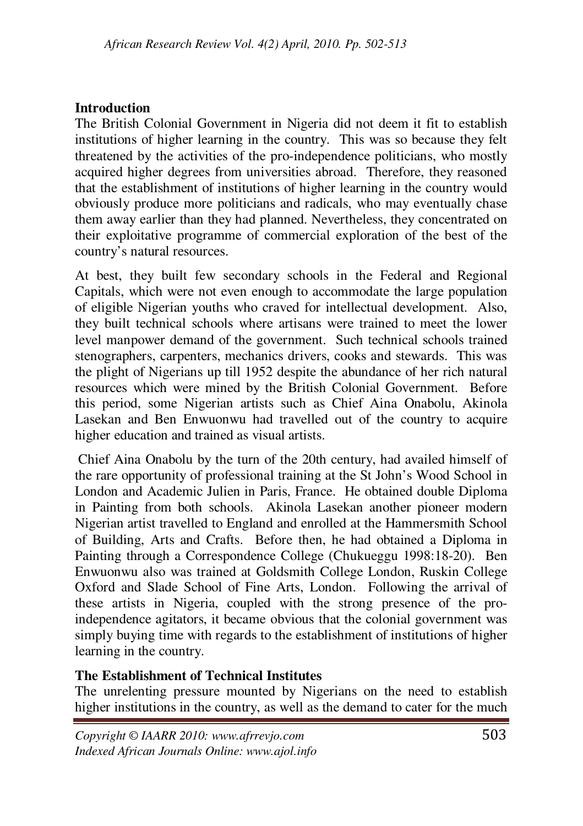### **Introduction**

The British Colonial Government in Nigeria did not deem it fit to establish institutions of higher learning in the country. This was so because they felt threatened by the activities of the pro-independence politicians, who mostly acquired higher degrees from universities abroad. Therefore, they reasoned that the establishment of institutions of higher learning in the country would obviously produce more politicians and radicals, who may eventually chase them away earlier than they had planned. Nevertheless, they concentrated on their exploitative programme of commercial exploration of the best of the country's natural resources.

At best, they built few secondary schools in the Federal and Regional Capitals, which were not even enough to accommodate the large population of eligible Nigerian youths who craved for intellectual development. Also, they built technical schools where artisans were trained to meet the lower level manpower demand of the government. Such technical schools trained stenographers, carpenters, mechanics drivers, cooks and stewards. This was the plight of Nigerians up till 1952 despite the abundance of her rich natural resources which were mined by the British Colonial Government. Before this period, some Nigerian artists such as Chief Aina Onabolu, Akinola Lasekan and Ben Enwuonwu had travelled out of the country to acquire higher education and trained as visual artists.

 Chief Aina Onabolu by the turn of the 20th century, had availed himself of the rare opportunity of professional training at the St John's Wood School in London and Academic Julien in Paris, France. He obtained double Diploma in Painting from both schools. Akinola Lasekan another pioneer modern Nigerian artist travelled to England and enrolled at the Hammersmith School of Building, Arts and Crafts. Before then, he had obtained a Diploma in Painting through a Correspondence College (Chukueggu 1998:18-20). Ben Enwuonwu also was trained at Goldsmith College London, Ruskin College Oxford and Slade School of Fine Arts, London. Following the arrival of these artists in Nigeria, coupled with the strong presence of the proindependence agitators, it became obvious that the colonial government was simply buying time with regards to the establishment of institutions of higher learning in the country.

#### **The Establishment of Technical Institutes**

The unrelenting pressure mounted by Nigerians on the need to establish higher institutions in the country, as well as the demand to cater for the much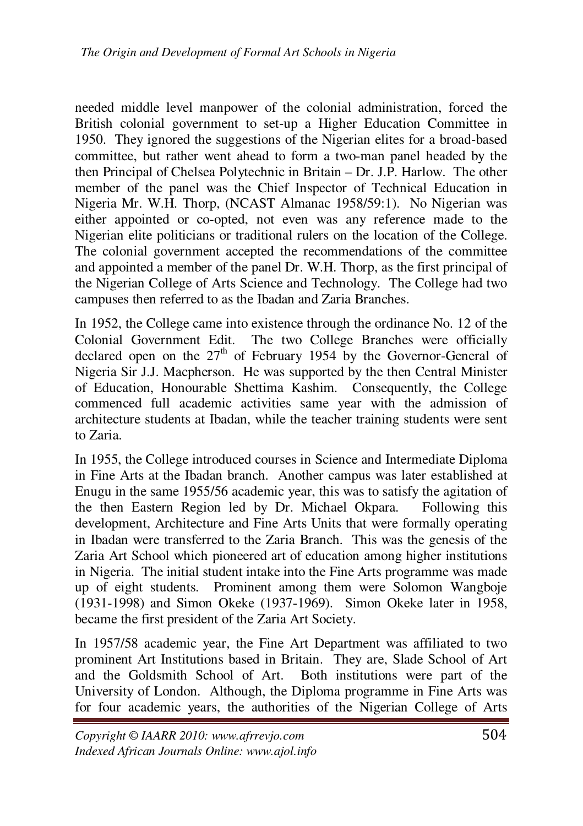needed middle level manpower of the colonial administration, forced the British colonial government to set-up a Higher Education Committee in 1950. They ignored the suggestions of the Nigerian elites for a broad-based committee, but rather went ahead to form a two-man panel headed by the then Principal of Chelsea Polytechnic in Britain – Dr. J.P. Harlow. The other member of the panel was the Chief Inspector of Technical Education in Nigeria Mr. W.H. Thorp, (NCAST Almanac 1958/59:1). No Nigerian was either appointed or co-opted, not even was any reference made to the Nigerian elite politicians or traditional rulers on the location of the College. The colonial government accepted the recommendations of the committee and appointed a member of the panel Dr. W.H. Thorp, as the first principal of the Nigerian College of Arts Science and Technology. The College had two campuses then referred to as the Ibadan and Zaria Branches.

In 1952, the College came into existence through the ordinance No. 12 of the Colonial Government Edit. The two College Branches were officially declared open on the  $27<sup>th</sup>$  of February 1954 by the Governor-General of Nigeria Sir J.J. Macpherson. He was supported by the then Central Minister of Education, Honourable Shettima Kashim. Consequently, the College commenced full academic activities same year with the admission of architecture students at Ibadan, while the teacher training students were sent to Zaria.

In 1955, the College introduced courses in Science and Intermediate Diploma in Fine Arts at the Ibadan branch. Another campus was later established at Enugu in the same 1955/56 academic year, this was to satisfy the agitation of the then Eastern Region led by Dr. Michael Okpara. Following this development, Architecture and Fine Arts Units that were formally operating in Ibadan were transferred to the Zaria Branch. This was the genesis of the Zaria Art School which pioneered art of education among higher institutions in Nigeria. The initial student intake into the Fine Arts programme was made up of eight students. Prominent among them were Solomon Wangboje (1931-1998) and Simon Okeke (1937-1969). Simon Okeke later in 1958, became the first president of the Zaria Art Society.

In 1957/58 academic year, the Fine Art Department was affiliated to two prominent Art Institutions based in Britain. They are, Slade School of Art and the Goldsmith School of Art. Both institutions were part of the University of London. Although, the Diploma programme in Fine Arts was for four academic years, the authorities of the Nigerian College of Arts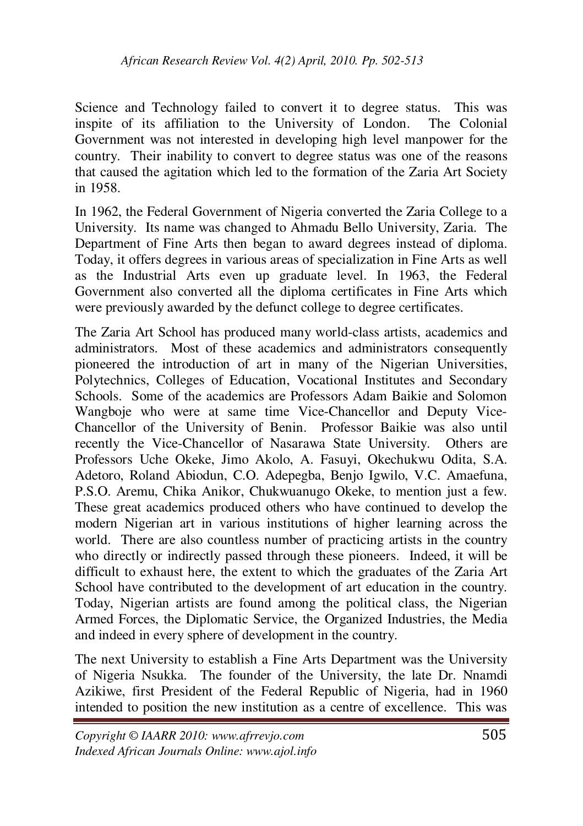Science and Technology failed to convert it to degree status. This was inspite of its affiliation to the University of London. The Colonial Government was not interested in developing high level manpower for the country. Their inability to convert to degree status was one of the reasons that caused the agitation which led to the formation of the Zaria Art Society in 1958.

In 1962, the Federal Government of Nigeria converted the Zaria College to a University. Its name was changed to Ahmadu Bello University, Zaria. The Department of Fine Arts then began to award degrees instead of diploma. Today, it offers degrees in various areas of specialization in Fine Arts as well as the Industrial Arts even up graduate level. In 1963, the Federal Government also converted all the diploma certificates in Fine Arts which were previously awarded by the defunct college to degree certificates.

The Zaria Art School has produced many world-class artists, academics and administrators. Most of these academics and administrators consequently pioneered the introduction of art in many of the Nigerian Universities, Polytechnics, Colleges of Education, Vocational Institutes and Secondary Schools. Some of the academics are Professors Adam Baikie and Solomon Wangboje who were at same time Vice-Chancellor and Deputy Vice-Chancellor of the University of Benin. Professor Baikie was also until recently the Vice-Chancellor of Nasarawa State University. Others are Professors Uche Okeke, Jimo Akolo, A. Fasuyi, Okechukwu Odita, S.A. Adetoro, Roland Abiodun, C.O. Adepegba, Benjo Igwilo, V.C. Amaefuna, P.S.O. Aremu, Chika Anikor, Chukwuanugo Okeke, to mention just a few. These great academics produced others who have continued to develop the modern Nigerian art in various institutions of higher learning across the world. There are also countless number of practicing artists in the country who directly or indirectly passed through these pioneers. Indeed, it will be difficult to exhaust here, the extent to which the graduates of the Zaria Art School have contributed to the development of art education in the country. Today, Nigerian artists are found among the political class, the Nigerian Armed Forces, the Diplomatic Service, the Organized Industries, the Media and indeed in every sphere of development in the country.

The next University to establish a Fine Arts Department was the University of Nigeria Nsukka. The founder of the University, the late Dr. Nnamdi Azikiwe, first President of the Federal Republic of Nigeria, had in 1960 intended to position the new institution as a centre of excellence. This was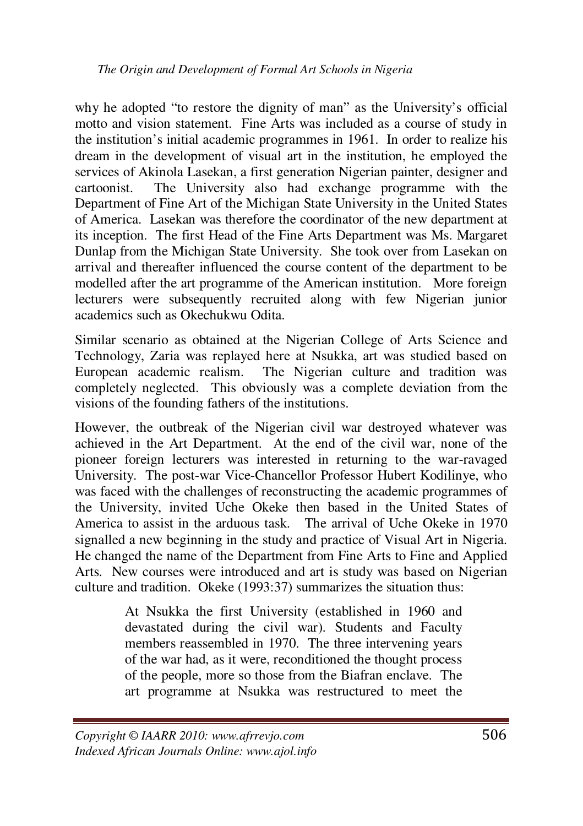why he adopted "to restore the dignity of man" as the University's official motto and vision statement. Fine Arts was included as a course of study in the institution's initial academic programmes in 1961. In order to realize his dream in the development of visual art in the institution, he employed the services of Akinola Lasekan, a first generation Nigerian painter, designer and cartoonist. The University also had exchange programme with the Department of Fine Art of the Michigan State University in the United States of America. Lasekan was therefore the coordinator of the new department at its inception. The first Head of the Fine Arts Department was Ms. Margaret Dunlap from the Michigan State University. She took over from Lasekan on arrival and thereafter influenced the course content of the department to be modelled after the art programme of the American institution. More foreign lecturers were subsequently recruited along with few Nigerian junior academics such as Okechukwu Odita.

Similar scenario as obtained at the Nigerian College of Arts Science and Technology, Zaria was replayed here at Nsukka, art was studied based on European academic realism. The Nigerian culture and tradition was completely neglected. This obviously was a complete deviation from the visions of the founding fathers of the institutions.

However, the outbreak of the Nigerian civil war destroyed whatever was achieved in the Art Department. At the end of the civil war, none of the pioneer foreign lecturers was interested in returning to the war-ravaged University. The post-war Vice-Chancellor Professor Hubert Kodilinye, who was faced with the challenges of reconstructing the academic programmes of the University, invited Uche Okeke then based in the United States of America to assist in the arduous task. The arrival of Uche Okeke in 1970 signalled a new beginning in the study and practice of Visual Art in Nigeria. He changed the name of the Department from Fine Arts to Fine and Applied Arts. New courses were introduced and art is study was based on Nigerian culture and tradition. Okeke (1993:37) summarizes the situation thus:

> At Nsukka the first University (established in 1960 and devastated during the civil war). Students and Faculty members reassembled in 1970. The three intervening years of the war had, as it were, reconditioned the thought process of the people, more so those from the Biafran enclave. The art programme at Nsukka was restructured to meet the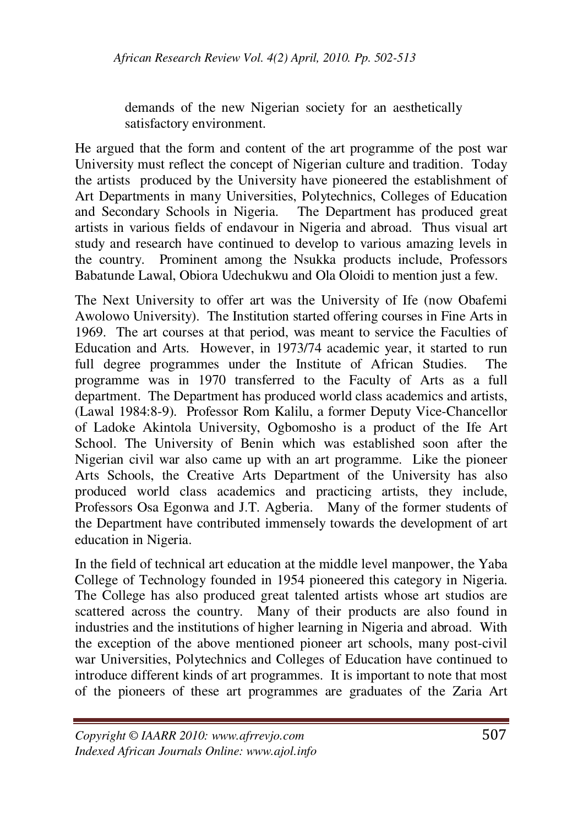demands of the new Nigerian society for an aesthetically satisfactory environment.

He argued that the form and content of the art programme of the post war University must reflect the concept of Nigerian culture and tradition. Today the artists produced by the University have pioneered the establishment of Art Departments in many Universities, Polytechnics, Colleges of Education and Secondary Schools in Nigeria. The Department has produced great artists in various fields of endavour in Nigeria and abroad. Thus visual art study and research have continued to develop to various amazing levels in the country. Prominent among the Nsukka products include, Professors Babatunde Lawal, Obiora Udechukwu and Ola Oloidi to mention just a few.

The Next University to offer art was the University of Ife (now Obafemi Awolowo University). The Institution started offering courses in Fine Arts in 1969. The art courses at that period, was meant to service the Faculties of Education and Arts. However, in 1973/74 academic year, it started to run full degree programmes under the Institute of African Studies. The programme was in 1970 transferred to the Faculty of Arts as a full department. The Department has produced world class academics and artists, (Lawal 1984:8-9). Professor Rom Kalilu, a former Deputy Vice-Chancellor of Ladoke Akintola University, Ogbomosho is a product of the Ife Art School. The University of Benin which was established soon after the Nigerian civil war also came up with an art programme. Like the pioneer Arts Schools, the Creative Arts Department of the University has also produced world class academics and practicing artists, they include, Professors Osa Egonwa and J.T. Agberia. Many of the former students of the Department have contributed immensely towards the development of art education in Nigeria.

In the field of technical art education at the middle level manpower, the Yaba College of Technology founded in 1954 pioneered this category in Nigeria. The College has also produced great talented artists whose art studios are scattered across the country. Many of their products are also found in industries and the institutions of higher learning in Nigeria and abroad. With the exception of the above mentioned pioneer art schools, many post-civil war Universities, Polytechnics and Colleges of Education have continued to introduce different kinds of art programmes. It is important to note that most of the pioneers of these art programmes are graduates of the Zaria Art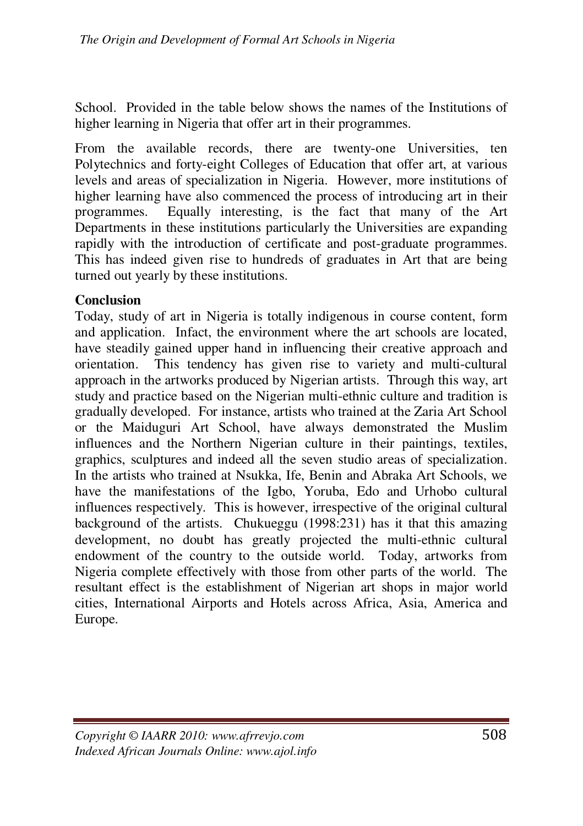School. Provided in the table below shows the names of the Institutions of higher learning in Nigeria that offer art in their programmes.

From the available records, there are twenty-one Universities, ten Polytechnics and forty-eight Colleges of Education that offer art, at various levels and areas of specialization in Nigeria. However, more institutions of higher learning have also commenced the process of introducing art in their programmes. Equally interesting, is the fact that many of the Art Departments in these institutions particularly the Universities are expanding rapidly with the introduction of certificate and post-graduate programmes. This has indeed given rise to hundreds of graduates in Art that are being turned out yearly by these institutions.

# **Conclusion**

Today, study of art in Nigeria is totally indigenous in course content, form and application. Infact, the environment where the art schools are located, have steadily gained upper hand in influencing their creative approach and orientation. This tendency has given rise to variety and multi-cultural approach in the artworks produced by Nigerian artists. Through this way, art study and practice based on the Nigerian multi-ethnic culture and tradition is gradually developed. For instance, artists who trained at the Zaria Art School or the Maiduguri Art School, have always demonstrated the Muslim influences and the Northern Nigerian culture in their paintings, textiles, graphics, sculptures and indeed all the seven studio areas of specialization. In the artists who trained at Nsukka, Ife, Benin and Abraka Art Schools, we have the manifestations of the Igbo, Yoruba, Edo and Urhobo cultural influences respectively. This is however, irrespective of the original cultural background of the artists. Chukueggu (1998:231) has it that this amazing development, no doubt has greatly projected the multi-ethnic cultural endowment of the country to the outside world. Today, artworks from Nigeria complete effectively with those from other parts of the world. The resultant effect is the establishment of Nigerian art shops in major world cities, International Airports and Hotels across Africa, Asia, America and Europe.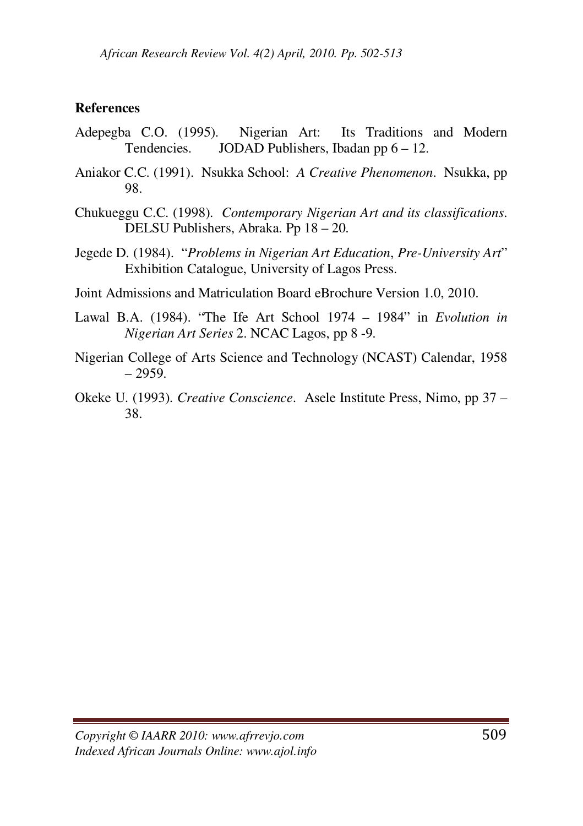# **References**

- Adepegba C.O. (1995). Nigerian Art: Its Traditions and Modern Tendencies. JODAD Publishers, Ibadan pp  $6 - 12$ .
- Aniakor C.C. (1991). Nsukka School: *A Creative Phenomenon*. Nsukka, pp 98.
- Chukueggu C.C. (1998). *Contemporary Nigerian Art and its classifications*. DELSU Publishers, Abraka. Pp 18 – 20.
- Jegede D. (1984). "*Problems in Nigerian Art Education*, *Pre-University Art*" Exhibition Catalogue, University of Lagos Press.
- Joint Admissions and Matriculation Board eBrochure Version 1.0, 2010.
- Lawal B.A. (1984). "The Ife Art School 1974 1984" in *Evolution in Nigerian Art Series* 2. NCAC Lagos, pp 8 -9.
- Nigerian College of Arts Science and Technology (NCAST) Calendar, 1958 – 2959.
- Okeke U. (1993). *Creative Conscience*. Asele Institute Press, Nimo, pp 37 38.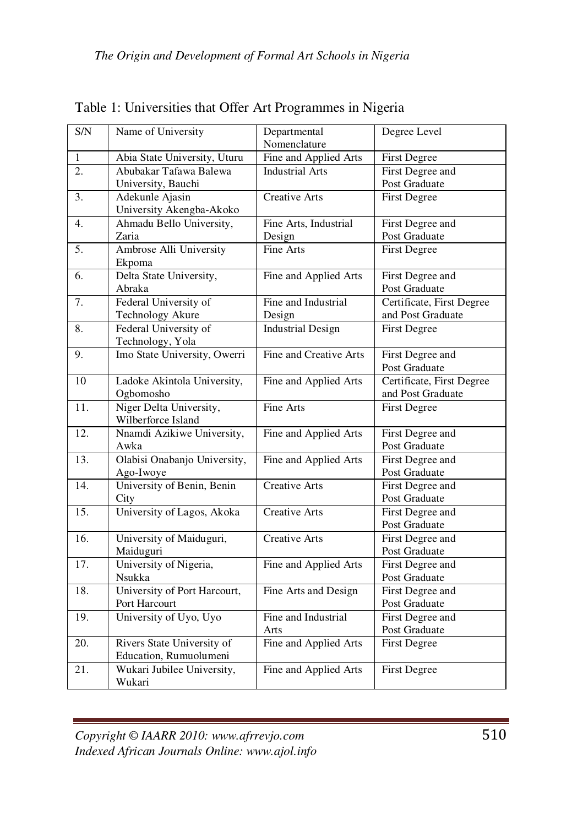| Nomenclature<br><b>First Degree</b><br>$\mathbf{1}$<br>Abia State University, Uturu<br>Fine and Applied Arts<br>$\overline{2}$ .<br>Abubakar Tafawa Balewa<br><b>Industrial Arts</b><br>First Degree and<br>Post Graduate<br>University, Bauchi<br><b>Creative Arts</b><br>3.<br>Adekunle Ajasin<br><b>First Degree</b><br>University Akengba-Akoko<br>Ahmadu Bello University,<br>Fine Arts, Industrial<br>First Degree and<br>4.<br>Post Graduate<br>Zaria<br>Design<br>Ambrose Alli University<br><b>Fine Arts</b><br>5.<br><b>First Degree</b><br>Ekpoma<br>Delta State University,<br>6.<br>Fine and Applied Arts<br>First Degree and<br>Abraka<br>Post Graduate<br>Federal University of<br>Fine and Industrial<br>Certificate, First Degree<br>7.<br>Technology Akure<br>and Post Graduate<br>Design<br>Federal University of<br><b>Industrial Design</b><br>8.<br><b>First Degree</b><br>Technology, Yola<br>Fine and Creative Arts<br>Imo State University, Owerri<br>9.<br>First Degree and<br>Post Graduate<br>Certificate, First Degree<br>Ladoke Akintola University,<br>Fine and Applied Arts<br>10<br>and Post Graduate<br>Ogbomosho<br>11.<br>Niger Delta University,<br>Fine Arts<br><b>First Degree</b><br>Wilberforce Island<br>12.<br>Nnamdi Azikiwe University,<br>Fine and Applied Arts<br>First Degree and<br>Post Graduate<br>Awka<br>13.<br>Olabisi Onabanjo University,<br>Fine and Applied Arts<br>First Degree and<br>Post Graduate<br>Ago-Iwoye<br>University of Benin, Benin<br>Creative Arts<br>14.<br>First Degree and<br>City<br>Post Graduate<br>University of Lagos, Akoka<br>15.<br><b>Creative Arts</b><br>First Degree and<br>Post Graduate<br>16.<br>University of Maiduguri,<br><b>Creative Arts</b><br>First Degree and<br>Maiduguri<br>Post Graduate<br>University of Nigeria,<br>17.<br>Fine and Applied Arts<br>First Degree and<br>Nsukka<br>Post Graduate<br>University of Port Harcourt,<br>Fine Arts and Design<br>18.<br>First Degree and<br>Port Harcourt<br>Post Graduate<br>Fine and Industrial<br>19.<br>University of Uyo, Uyo<br>First Degree and<br>Post Graduate<br>Arts<br>Rivers State University of<br>Fine and Applied Arts<br>20.<br><b>First Degree</b><br>Education, Rumuolumeni<br>Wukari Jubilee University,<br>Fine and Applied Arts<br><b>First Degree</b><br>21. | S/N | Name of University | Departmental | Degree Level |
|---------------------------------------------------------------------------------------------------------------------------------------------------------------------------------------------------------------------------------------------------------------------------------------------------------------------------------------------------------------------------------------------------------------------------------------------------------------------------------------------------------------------------------------------------------------------------------------------------------------------------------------------------------------------------------------------------------------------------------------------------------------------------------------------------------------------------------------------------------------------------------------------------------------------------------------------------------------------------------------------------------------------------------------------------------------------------------------------------------------------------------------------------------------------------------------------------------------------------------------------------------------------------------------------------------------------------------------------------------------------------------------------------------------------------------------------------------------------------------------------------------------------------------------------------------------------------------------------------------------------------------------------------------------------------------------------------------------------------------------------------------------------------------------------------------------------------------------------------------------------------------------------------------------------------------------------------------------------------------------------------------------------------------------------------------------------------------------------------------------------------------------------------------------------------------------------------------------------------------------------------------------------------------------------------------------------------------------|-----|--------------------|--------------|--------------|
|                                                                                                                                                                                                                                                                                                                                                                                                                                                                                                                                                                                                                                                                                                                                                                                                                                                                                                                                                                                                                                                                                                                                                                                                                                                                                                                                                                                                                                                                                                                                                                                                                                                                                                                                                                                                                                                                                                                                                                                                                                                                                                                                                                                                                                                                                                                                       |     |                    |              |              |
|                                                                                                                                                                                                                                                                                                                                                                                                                                                                                                                                                                                                                                                                                                                                                                                                                                                                                                                                                                                                                                                                                                                                                                                                                                                                                                                                                                                                                                                                                                                                                                                                                                                                                                                                                                                                                                                                                                                                                                                                                                                                                                                                                                                                                                                                                                                                       |     |                    |              |              |
|                                                                                                                                                                                                                                                                                                                                                                                                                                                                                                                                                                                                                                                                                                                                                                                                                                                                                                                                                                                                                                                                                                                                                                                                                                                                                                                                                                                                                                                                                                                                                                                                                                                                                                                                                                                                                                                                                                                                                                                                                                                                                                                                                                                                                                                                                                                                       |     |                    |              |              |
|                                                                                                                                                                                                                                                                                                                                                                                                                                                                                                                                                                                                                                                                                                                                                                                                                                                                                                                                                                                                                                                                                                                                                                                                                                                                                                                                                                                                                                                                                                                                                                                                                                                                                                                                                                                                                                                                                                                                                                                                                                                                                                                                                                                                                                                                                                                                       |     |                    |              |              |
|                                                                                                                                                                                                                                                                                                                                                                                                                                                                                                                                                                                                                                                                                                                                                                                                                                                                                                                                                                                                                                                                                                                                                                                                                                                                                                                                                                                                                                                                                                                                                                                                                                                                                                                                                                                                                                                                                                                                                                                                                                                                                                                                                                                                                                                                                                                                       |     |                    |              |              |
|                                                                                                                                                                                                                                                                                                                                                                                                                                                                                                                                                                                                                                                                                                                                                                                                                                                                                                                                                                                                                                                                                                                                                                                                                                                                                                                                                                                                                                                                                                                                                                                                                                                                                                                                                                                                                                                                                                                                                                                                                                                                                                                                                                                                                                                                                                                                       |     |                    |              |              |
|                                                                                                                                                                                                                                                                                                                                                                                                                                                                                                                                                                                                                                                                                                                                                                                                                                                                                                                                                                                                                                                                                                                                                                                                                                                                                                                                                                                                                                                                                                                                                                                                                                                                                                                                                                                                                                                                                                                                                                                                                                                                                                                                                                                                                                                                                                                                       |     |                    |              |              |
|                                                                                                                                                                                                                                                                                                                                                                                                                                                                                                                                                                                                                                                                                                                                                                                                                                                                                                                                                                                                                                                                                                                                                                                                                                                                                                                                                                                                                                                                                                                                                                                                                                                                                                                                                                                                                                                                                                                                                                                                                                                                                                                                                                                                                                                                                                                                       |     |                    |              |              |
|                                                                                                                                                                                                                                                                                                                                                                                                                                                                                                                                                                                                                                                                                                                                                                                                                                                                                                                                                                                                                                                                                                                                                                                                                                                                                                                                                                                                                                                                                                                                                                                                                                                                                                                                                                                                                                                                                                                                                                                                                                                                                                                                                                                                                                                                                                                                       |     |                    |              |              |
|                                                                                                                                                                                                                                                                                                                                                                                                                                                                                                                                                                                                                                                                                                                                                                                                                                                                                                                                                                                                                                                                                                                                                                                                                                                                                                                                                                                                                                                                                                                                                                                                                                                                                                                                                                                                                                                                                                                                                                                                                                                                                                                                                                                                                                                                                                                                       |     |                    |              |              |
|                                                                                                                                                                                                                                                                                                                                                                                                                                                                                                                                                                                                                                                                                                                                                                                                                                                                                                                                                                                                                                                                                                                                                                                                                                                                                                                                                                                                                                                                                                                                                                                                                                                                                                                                                                                                                                                                                                                                                                                                                                                                                                                                                                                                                                                                                                                                       |     |                    |              |              |
|                                                                                                                                                                                                                                                                                                                                                                                                                                                                                                                                                                                                                                                                                                                                                                                                                                                                                                                                                                                                                                                                                                                                                                                                                                                                                                                                                                                                                                                                                                                                                                                                                                                                                                                                                                                                                                                                                                                                                                                                                                                                                                                                                                                                                                                                                                                                       |     |                    |              |              |
|                                                                                                                                                                                                                                                                                                                                                                                                                                                                                                                                                                                                                                                                                                                                                                                                                                                                                                                                                                                                                                                                                                                                                                                                                                                                                                                                                                                                                                                                                                                                                                                                                                                                                                                                                                                                                                                                                                                                                                                                                                                                                                                                                                                                                                                                                                                                       |     |                    |              |              |
|                                                                                                                                                                                                                                                                                                                                                                                                                                                                                                                                                                                                                                                                                                                                                                                                                                                                                                                                                                                                                                                                                                                                                                                                                                                                                                                                                                                                                                                                                                                                                                                                                                                                                                                                                                                                                                                                                                                                                                                                                                                                                                                                                                                                                                                                                                                                       |     |                    |              |              |
|                                                                                                                                                                                                                                                                                                                                                                                                                                                                                                                                                                                                                                                                                                                                                                                                                                                                                                                                                                                                                                                                                                                                                                                                                                                                                                                                                                                                                                                                                                                                                                                                                                                                                                                                                                                                                                                                                                                                                                                                                                                                                                                                                                                                                                                                                                                                       |     |                    |              |              |
|                                                                                                                                                                                                                                                                                                                                                                                                                                                                                                                                                                                                                                                                                                                                                                                                                                                                                                                                                                                                                                                                                                                                                                                                                                                                                                                                                                                                                                                                                                                                                                                                                                                                                                                                                                                                                                                                                                                                                                                                                                                                                                                                                                                                                                                                                                                                       |     |                    |              |              |
|                                                                                                                                                                                                                                                                                                                                                                                                                                                                                                                                                                                                                                                                                                                                                                                                                                                                                                                                                                                                                                                                                                                                                                                                                                                                                                                                                                                                                                                                                                                                                                                                                                                                                                                                                                                                                                                                                                                                                                                                                                                                                                                                                                                                                                                                                                                                       |     |                    |              |              |
|                                                                                                                                                                                                                                                                                                                                                                                                                                                                                                                                                                                                                                                                                                                                                                                                                                                                                                                                                                                                                                                                                                                                                                                                                                                                                                                                                                                                                                                                                                                                                                                                                                                                                                                                                                                                                                                                                                                                                                                                                                                                                                                                                                                                                                                                                                                                       |     |                    |              |              |
|                                                                                                                                                                                                                                                                                                                                                                                                                                                                                                                                                                                                                                                                                                                                                                                                                                                                                                                                                                                                                                                                                                                                                                                                                                                                                                                                                                                                                                                                                                                                                                                                                                                                                                                                                                                                                                                                                                                                                                                                                                                                                                                                                                                                                                                                                                                                       |     |                    |              |              |
|                                                                                                                                                                                                                                                                                                                                                                                                                                                                                                                                                                                                                                                                                                                                                                                                                                                                                                                                                                                                                                                                                                                                                                                                                                                                                                                                                                                                                                                                                                                                                                                                                                                                                                                                                                                                                                                                                                                                                                                                                                                                                                                                                                                                                                                                                                                                       |     |                    |              |              |
|                                                                                                                                                                                                                                                                                                                                                                                                                                                                                                                                                                                                                                                                                                                                                                                                                                                                                                                                                                                                                                                                                                                                                                                                                                                                                                                                                                                                                                                                                                                                                                                                                                                                                                                                                                                                                                                                                                                                                                                                                                                                                                                                                                                                                                                                                                                                       |     |                    |              |              |
|                                                                                                                                                                                                                                                                                                                                                                                                                                                                                                                                                                                                                                                                                                                                                                                                                                                                                                                                                                                                                                                                                                                                                                                                                                                                                                                                                                                                                                                                                                                                                                                                                                                                                                                                                                                                                                                                                                                                                                                                                                                                                                                                                                                                                                                                                                                                       |     |                    |              |              |
|                                                                                                                                                                                                                                                                                                                                                                                                                                                                                                                                                                                                                                                                                                                                                                                                                                                                                                                                                                                                                                                                                                                                                                                                                                                                                                                                                                                                                                                                                                                                                                                                                                                                                                                                                                                                                                                                                                                                                                                                                                                                                                                                                                                                                                                                                                                                       |     |                    |              |              |
|                                                                                                                                                                                                                                                                                                                                                                                                                                                                                                                                                                                                                                                                                                                                                                                                                                                                                                                                                                                                                                                                                                                                                                                                                                                                                                                                                                                                                                                                                                                                                                                                                                                                                                                                                                                                                                                                                                                                                                                                                                                                                                                                                                                                                                                                                                                                       |     |                    |              |              |
|                                                                                                                                                                                                                                                                                                                                                                                                                                                                                                                                                                                                                                                                                                                                                                                                                                                                                                                                                                                                                                                                                                                                                                                                                                                                                                                                                                                                                                                                                                                                                                                                                                                                                                                                                                                                                                                                                                                                                                                                                                                                                                                                                                                                                                                                                                                                       |     |                    |              |              |
|                                                                                                                                                                                                                                                                                                                                                                                                                                                                                                                                                                                                                                                                                                                                                                                                                                                                                                                                                                                                                                                                                                                                                                                                                                                                                                                                                                                                                                                                                                                                                                                                                                                                                                                                                                                                                                                                                                                                                                                                                                                                                                                                                                                                                                                                                                                                       |     |                    |              |              |
|                                                                                                                                                                                                                                                                                                                                                                                                                                                                                                                                                                                                                                                                                                                                                                                                                                                                                                                                                                                                                                                                                                                                                                                                                                                                                                                                                                                                                                                                                                                                                                                                                                                                                                                                                                                                                                                                                                                                                                                                                                                                                                                                                                                                                                                                                                                                       |     |                    |              |              |
|                                                                                                                                                                                                                                                                                                                                                                                                                                                                                                                                                                                                                                                                                                                                                                                                                                                                                                                                                                                                                                                                                                                                                                                                                                                                                                                                                                                                                                                                                                                                                                                                                                                                                                                                                                                                                                                                                                                                                                                                                                                                                                                                                                                                                                                                                                                                       |     |                    |              |              |
|                                                                                                                                                                                                                                                                                                                                                                                                                                                                                                                                                                                                                                                                                                                                                                                                                                                                                                                                                                                                                                                                                                                                                                                                                                                                                                                                                                                                                                                                                                                                                                                                                                                                                                                                                                                                                                                                                                                                                                                                                                                                                                                                                                                                                                                                                                                                       |     |                    |              |              |
|                                                                                                                                                                                                                                                                                                                                                                                                                                                                                                                                                                                                                                                                                                                                                                                                                                                                                                                                                                                                                                                                                                                                                                                                                                                                                                                                                                                                                                                                                                                                                                                                                                                                                                                                                                                                                                                                                                                                                                                                                                                                                                                                                                                                                                                                                                                                       |     |                    |              |              |
|                                                                                                                                                                                                                                                                                                                                                                                                                                                                                                                                                                                                                                                                                                                                                                                                                                                                                                                                                                                                                                                                                                                                                                                                                                                                                                                                                                                                                                                                                                                                                                                                                                                                                                                                                                                                                                                                                                                                                                                                                                                                                                                                                                                                                                                                                                                                       |     |                    |              |              |
|                                                                                                                                                                                                                                                                                                                                                                                                                                                                                                                                                                                                                                                                                                                                                                                                                                                                                                                                                                                                                                                                                                                                                                                                                                                                                                                                                                                                                                                                                                                                                                                                                                                                                                                                                                                                                                                                                                                                                                                                                                                                                                                                                                                                                                                                                                                                       |     |                    |              |              |
|                                                                                                                                                                                                                                                                                                                                                                                                                                                                                                                                                                                                                                                                                                                                                                                                                                                                                                                                                                                                                                                                                                                                                                                                                                                                                                                                                                                                                                                                                                                                                                                                                                                                                                                                                                                                                                                                                                                                                                                                                                                                                                                                                                                                                                                                                                                                       |     |                    |              |              |
|                                                                                                                                                                                                                                                                                                                                                                                                                                                                                                                                                                                                                                                                                                                                                                                                                                                                                                                                                                                                                                                                                                                                                                                                                                                                                                                                                                                                                                                                                                                                                                                                                                                                                                                                                                                                                                                                                                                                                                                                                                                                                                                                                                                                                                                                                                                                       |     |                    |              |              |
|                                                                                                                                                                                                                                                                                                                                                                                                                                                                                                                                                                                                                                                                                                                                                                                                                                                                                                                                                                                                                                                                                                                                                                                                                                                                                                                                                                                                                                                                                                                                                                                                                                                                                                                                                                                                                                                                                                                                                                                                                                                                                                                                                                                                                                                                                                                                       |     |                    |              |              |
|                                                                                                                                                                                                                                                                                                                                                                                                                                                                                                                                                                                                                                                                                                                                                                                                                                                                                                                                                                                                                                                                                                                                                                                                                                                                                                                                                                                                                                                                                                                                                                                                                                                                                                                                                                                                                                                                                                                                                                                                                                                                                                                                                                                                                                                                                                                                       |     |                    |              |              |
|                                                                                                                                                                                                                                                                                                                                                                                                                                                                                                                                                                                                                                                                                                                                                                                                                                                                                                                                                                                                                                                                                                                                                                                                                                                                                                                                                                                                                                                                                                                                                                                                                                                                                                                                                                                                                                                                                                                                                                                                                                                                                                                                                                                                                                                                                                                                       |     |                    |              |              |
|                                                                                                                                                                                                                                                                                                                                                                                                                                                                                                                                                                                                                                                                                                                                                                                                                                                                                                                                                                                                                                                                                                                                                                                                                                                                                                                                                                                                                                                                                                                                                                                                                                                                                                                                                                                                                                                                                                                                                                                                                                                                                                                                                                                                                                                                                                                                       |     |                    |              |              |
|                                                                                                                                                                                                                                                                                                                                                                                                                                                                                                                                                                                                                                                                                                                                                                                                                                                                                                                                                                                                                                                                                                                                                                                                                                                                                                                                                                                                                                                                                                                                                                                                                                                                                                                                                                                                                                                                                                                                                                                                                                                                                                                                                                                                                                                                                                                                       |     |                    |              |              |
|                                                                                                                                                                                                                                                                                                                                                                                                                                                                                                                                                                                                                                                                                                                                                                                                                                                                                                                                                                                                                                                                                                                                                                                                                                                                                                                                                                                                                                                                                                                                                                                                                                                                                                                                                                                                                                                                                                                                                                                                                                                                                                                                                                                                                                                                                                                                       |     |                    |              |              |
|                                                                                                                                                                                                                                                                                                                                                                                                                                                                                                                                                                                                                                                                                                                                                                                                                                                                                                                                                                                                                                                                                                                                                                                                                                                                                                                                                                                                                                                                                                                                                                                                                                                                                                                                                                                                                                                                                                                                                                                                                                                                                                                                                                                                                                                                                                                                       |     | Wukari             |              |              |

Table 1: Universities that Offer Art Programmes in Nigeria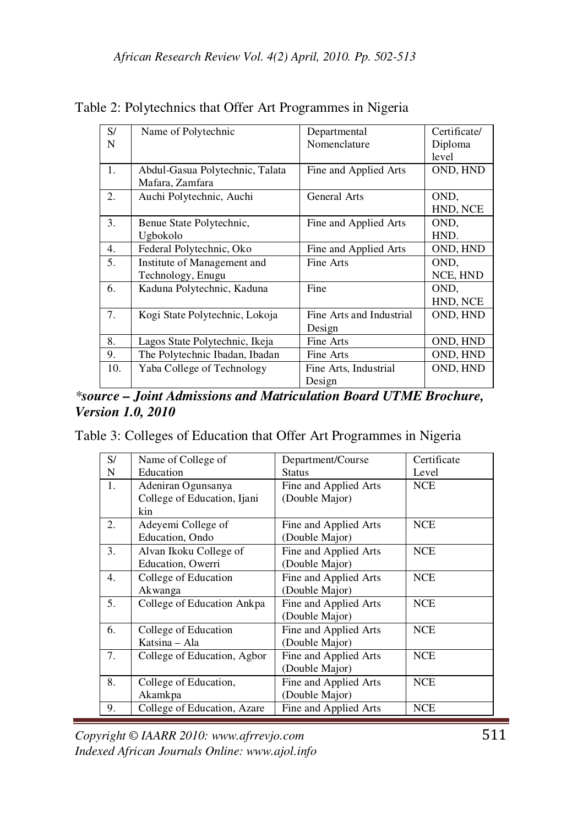| S/             | Name of Polytechnic             | Departmental             | Certificate/ |
|----------------|---------------------------------|--------------------------|--------------|
| N              |                                 | Nomenclature             | Diploma      |
|                |                                 |                          | level        |
| $\mathbf{1}$ . | Abdul-Gasua Polytechnic, Talata | Fine and Applied Arts    | OND, HND     |
|                | Mafara, Zamfara                 |                          |              |
| 2.             | Auchi Polytechnic, Auchi        | General Arts             | OND,         |
|                |                                 |                          | HND, NCE     |
| 3.             | Benue State Polytechnic,        | Fine and Applied Arts    | OND,         |
|                | Ugbokolo                        |                          | HND.         |
| 4.             | Federal Polytechnic, Oko        | Fine and Applied Arts    | OND, HND     |
| 5.             | Institute of Management and     | Fine Arts                | OND,         |
|                | Technology, Enugu               |                          | NCE, HND     |
| 6.             | Kaduna Polytechnic, Kaduna      | Fine                     | OND,         |
|                |                                 |                          | HND, NCE     |
| 7.             | Kogi State Polytechnic, Lokoja  | Fine Arts and Industrial | OND, HND     |
|                |                                 | Design                   |              |
| 8.             | Lagos State Polytechnic, Ikeja  | Fine Arts                | OND, HND     |
| 9.             | The Polytechnic Ibadan, Ibadan  | Fine Arts                | OND, HND     |
| 10.            | Yaba College of Technology      | Fine Arts, Industrial    | OND, HND     |
|                |                                 | Design                   |              |

Table 2: Polytechnics that Offer Art Programmes in Nigeria

*\*source – Joint Admissions and Matriculation Board UTME Brochure, Version 1.0, 2010* 

Table 3: Colleges of Education that Offer Art Programmes in Nigeria

| S/ | Name of College of          | Department/Course     | Certificate |
|----|-----------------------------|-----------------------|-------------|
| N  | Education                   | Status                | Level       |
| 1. | Adeniran Ogunsanya          | Fine and Applied Arts | <b>NCE</b>  |
|    | College of Education, Ijani | (Double Major)        |             |
|    | kin                         |                       |             |
| 2. | Adeyemi College of          | Fine and Applied Arts | <b>NCE</b>  |
|    | Education, Ondo             | (Double Major)        |             |
| 3. | Alvan Ikoku College of      | Fine and Applied Arts | <b>NCE</b>  |
|    | Education, Owerri           | (Double Major)        |             |
| 4. | College of Education        | Fine and Applied Arts | <b>NCE</b>  |
|    | Akwanga                     | (Double Major)        |             |
| 5. | College of Education Ankpa  | Fine and Applied Arts | <b>NCE</b>  |
|    |                             | (Double Major)        |             |
| 6. | College of Education        | Fine and Applied Arts | <b>NCE</b>  |
|    | Katsina – Ala               | (Double Major)        |             |
| 7. | College of Education, Agbor | Fine and Applied Arts | <b>NCE</b>  |
|    |                             | (Double Major)        |             |
| 8. | College of Education,       | Fine and Applied Arts | <b>NCE</b>  |
|    | Akamkpa                     | (Double Major)        |             |
| 9. | College of Education, Azare | Fine and Applied Arts | <b>NCE</b>  |

*Copyright © IAARR 2010: www.afrrevjo.com* 511 *Indexed African Journals Online: www.ajol.info*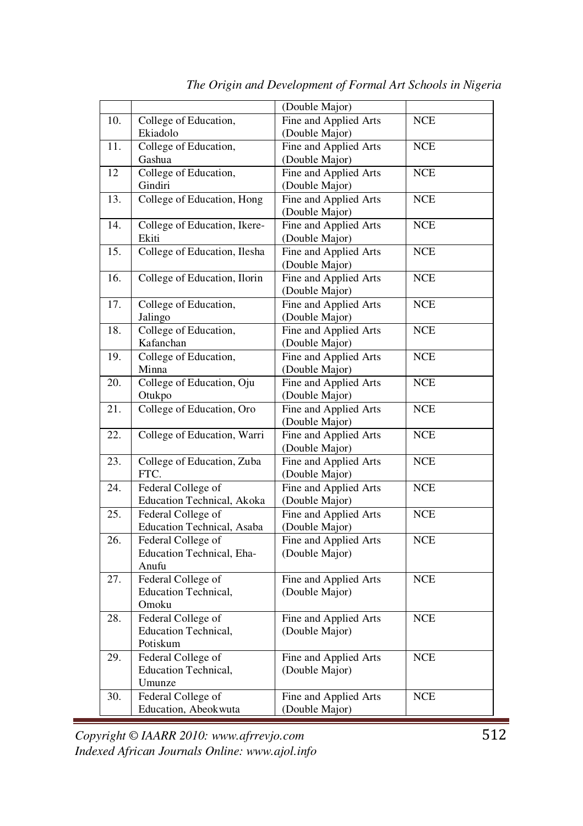|                   |                                     | (Double Major)                          |            |
|-------------------|-------------------------------------|-----------------------------------------|------------|
| 10.               | College of Education,               | Fine and Applied Arts                   | <b>NCE</b> |
|                   | Ekiadolo                            | (Double Major)                          |            |
| 11.               | College of Education,               | Fine and Applied Arts                   | <b>NCE</b> |
|                   | Gashua                              | (Double Major)                          |            |
| 12                | College of Education,               | Fine and Applied Arts                   | <b>NCE</b> |
|                   | Gindiri                             | (Double Major)                          |            |
| 13.               | College of Education, Hong          | Fine and Applied Arts                   | <b>NCE</b> |
|                   |                                     | (Double Major)                          |            |
| 14.               | College of Education, Ikere-        | Fine and Applied Arts                   | <b>NCE</b> |
|                   | Ekiti                               | (Double Major)                          |            |
| 15.               | College of Education, Ilesha        | Fine and Applied Arts                   | <b>NCE</b> |
|                   |                                     | (Double Major)                          |            |
| 16.               | College of Education, Ilorin        | Fine and Applied Arts                   | <b>NCE</b> |
|                   |                                     | (Double Major)                          |            |
| $\overline{17}$ . | College of Education,               | Fine and Applied Arts                   | <b>NCE</b> |
|                   | Jalingo                             | (Double Major)                          |            |
| 18.               | College of Education,               | Fine and Applied Arts                   | <b>NCE</b> |
|                   | Kafanchan                           | (Double Major)                          |            |
| 19.               | College of Education,               | Fine and Applied Arts                   | <b>NCE</b> |
|                   | Minna                               | (Double Major)                          |            |
| 20.               | College of Education, Oju           | Fine and Applied Arts                   | <b>NCE</b> |
| 21.               | Otukpo<br>College of Education, Oro | (Double Major)<br>Fine and Applied Arts | <b>NCE</b> |
|                   |                                     | (Double Major)                          |            |
| 22.               | College of Education, Warri         | Fine and Applied Arts                   | <b>NCE</b> |
|                   |                                     | (Double Major)                          |            |
| 23.               | College of Education, Zuba          | Fine and Applied Arts                   | <b>NCE</b> |
|                   | FTC.                                | (Double Major)                          |            |
| 24.               | Federal College of                  | Fine and Applied Arts                   | <b>NCE</b> |
|                   | Education Technical, Akoka          | (Double Major)                          |            |
| 25.               | Federal College of                  | Fine and Applied Arts                   | <b>NCE</b> |
|                   | Education Technical, Asaba          | (Double Major)                          |            |
| 26.               | Federal College of                  | Fine and Applied Arts                   | <b>NCE</b> |
|                   | Education Technical, Eha-           | (Double Major)                          |            |
|                   | Anufu                               |                                         |            |
| 27.               | Federal College of                  | Fine and Applied Arts                   | <b>NCE</b> |
|                   | <b>Education Technical,</b>         | (Double Major)                          |            |
|                   | Omoku                               |                                         |            |
| 28.               | Federal College of                  | Fine and Applied Arts                   | <b>NCE</b> |
|                   | <b>Education Technical,</b>         | (Double Major)                          |            |
|                   | Potiskum                            |                                         |            |
| 29.               | Federal College of                  | Fine and Applied Arts                   | NCE        |
|                   | <b>Education Technical,</b>         | (Double Major)                          |            |
|                   | Umunze                              |                                         |            |
| 30.               | Federal College of                  | Fine and Applied Arts                   | <b>NCE</b> |
|                   | Education, Abeokwuta                | (Double Major)                          |            |

*The Origin and Development of Formal Art Schools in Nigeria*

*Copyright © IAARR 2010: www.afrrevjo.com* 512 *Indexed African Journals Online: www.ajol.info*